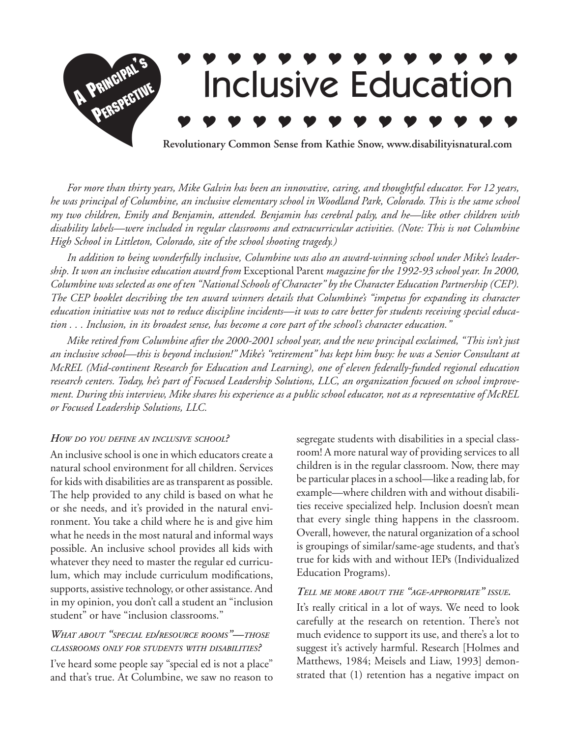

*For more than thirty years, Mike Galvin has been an innovative, caring, and thoughtful educator. For 12 years, he was principal of Columbine, an inclusive elementary school in Woodland Park, Colorado. This is the same school my two children, Emily and Benjamin, attended. Benjamin has cerebral palsy, and he—like other children with disability labels—were included in regular classrooms and extracurricular activities. (Note: This is not Columbine High School in Littleton, Colorado, site of the school shooting tragedy.)*

*In addition to being wonderfully inclusive, Columbine was also an award-winning school under Mike's leadership. It won an inclusive education award from* Exceptional Parent *magazine for the 1992-93 school year. In 2000, Columbine was selected as one of ten "National Schools of Character" by the Character Education Partnership (CEP). The CEP booklet describing the ten award winners details that Columbine's "impetus for expanding its character education initiative was not to reduce discipline incidents—it was to care better for students receiving special education . . . Inclusion, in its broadest sense, has become a core part of the school's character education."*

*Mike retired from Columbine after the 2000-2001 school year, and the new principal exclaimed, "This isn't just an inclusive school—this is beyond inclusion!" Mike's "retirement" has kept him busy: he was a Senior Consultant at McREL (Mid-continent Research for Education and Learning), one of eleven federally-funded regional education research centers. Today, he's part of Focused Leadership Solutions, LLC, an organization focused on school improvement. During this interview, Mike shares his experience as a public school educator, not as a representative of McREL or Focused Leadership Solutions, LLC.*

#### *How do you define an inclusive school?*

An inclusive school is one in which educators create a natural school environment for all children. Services for kids with disabilities are as transparent as possible. The help provided to any child is based on what he or she needs, and it's provided in the natural environment. You take a child where he is and give him what he needs in the most natural and informal ways possible. An inclusive school provides all kids with whatever they need to master the regular ed curriculum, which may include curriculum modifications, supports, assistive technology, or other assistance. And in my opinion, you don't call a student an "inclusion student" or have "inclusion classrooms."

# *What about "special ed/resource rooms"—those classrooms only for students with disabilities?*

I've heard some people say "special ed is not a place" and that's true. At Columbine, we saw no reason to segregate students with disabilities in a special classroom! A more natural way of providing services to all children is in the regular classroom. Now, there may be particular places in a school—like a reading lab, for example—where children with and without disabilities receive specialized help. Inclusion doesn't mean that every single thing happens in the classroom. Overall, however, the natural organization of a school is groupings of similar/same-age students, and that's true for kids with and without IEPs (Individualized Education Programs).

### *Tell me more about the "age-appropriate" issue.*

It's really critical in a lot of ways. We need to look carefully at the research on retention. There's not much evidence to support its use, and there's a lot to suggest it's actively harmful. Research [Holmes and Matthews, 1984; Meisels and Liaw, 1993] demonstrated that (1) retention has a negative impact on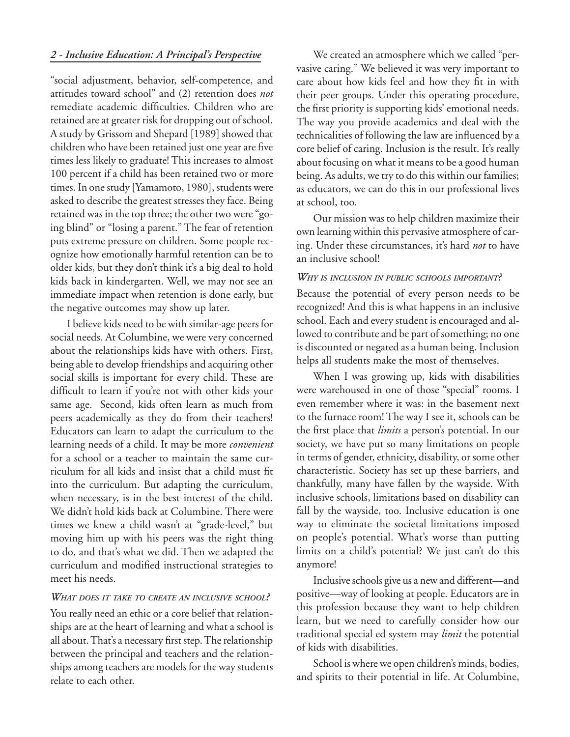### *2 - Inclusive Education: A Principal's Perspective*

"social adjustment, behavior, self-competence, and attitudes toward school" and (2) retention does *not*  remediate academic difficulties. Children who are retained are at greater risk for dropping out of school. A study by Grissom and Shepard [1989] showed that children who have been retained just one year are five times less likely to graduate! This increases to almost 100 percent if a child has been retained two or more times. In one study [Yamamoto, 1980], students were asked to describe the greatest stresses they face. Being retained was in the top three; the other two were "going blind" or "losing a parent." The fear of retention puts extreme pressure on children. Some people recognize how emotionally harmful retention can be to older kids, but they don't think it's a big deal to hold kids back in kindergarten. Well, we may not see an immediate impact when retention is done early, but the negative outcomes may show up later.

I believe kids need to be with similar-age peers for social needs. At Columbine, we were very concerned about the relationships kids have with others. First, being able to develop friendships and acquiring other social skills is important for every child. These are difficult to learn if you're not with other kids your same age. Second, kids often learn as much from peers academically as they do from their teachers! Educators can learn to adapt the curriculum to the learning needs of a child. It may be more *convenient*  for a school or a teacher to maintain the same curriculum for all kids and insist that a child must fit into the curriculum. But adapting the curriculum, when necessary, is in the best interest of the child. We didn't hold kids back at Columbine. There were times we knew a child wasn't at "grade-level," but moving him up with his peers was the right thing to do, and that's what we did. Then we adapted the curriculum and modified instructional strategies to meet his needs.

#### *What does it take to create an inclusive school?*

You really need an ethic or a core belief that relationships are at the heart of learning and what a school is all about. That's a necessary first step. The relationship between the principal and teachers and the relationships among teachers are models for the way students relate to each other.

We created an atmosphere which we called "pervasive caring." We believed it was very important to care about how kids feel and how they fit in with their peer groups. Under this operating procedure, the first priority is supporting kids' emotional needs. The way you provide academics and deal with the technicalities of following the law are influenced by a core belief of caring. Inclusion is the result. It's really about focusing on what it means to be a good human being. As adults, we try to do this within our families; as educators, we can do this in our professional lives at school, too.

Our mission was to help children maximize their own learning within this pervasive atmosphere of caring. Under these circumstances, it's hard *not* to have an inclusive school!

#### *Why is inclusion in public schools important?*

Because the potential of every person needs to be recognized! And this is what happens in an inclusive school. Each and every student is encouraged and allowed to contribute and be part of something; no one is discounted or negated as a human being. Inclusion helps all students make the most of themselves.

When I was growing up, kids with disabilities were warehoused in one of those "special" rooms. I even remember where it was: in the basement next to the furnace room! The way I see it, schools can be the first place that *limits* a person's potential. In our society, we have put so many limitations on people in terms of gender, ethnicity, disability, or some other characteristic. Society has set up these barriers, and thankfully, many have fallen by the wayside. With inclusive schools, limitations based on disability can fall by the wayside, too. Inclusive education is one way to eliminate the societal limitations imposed on people's potential. What's worse than putting limits on a child's potential? We just can't do this anymore!

Inclusive schools give us a new and different—and positive—way of looking at people. Educators are in this profession because they want to help children learn, but we need to carefully consider how our traditional special ed system may *limit* the potential of kids with disabilities.

School is where we open children's minds, bodies, and spirits to their potential in life. At Columbine,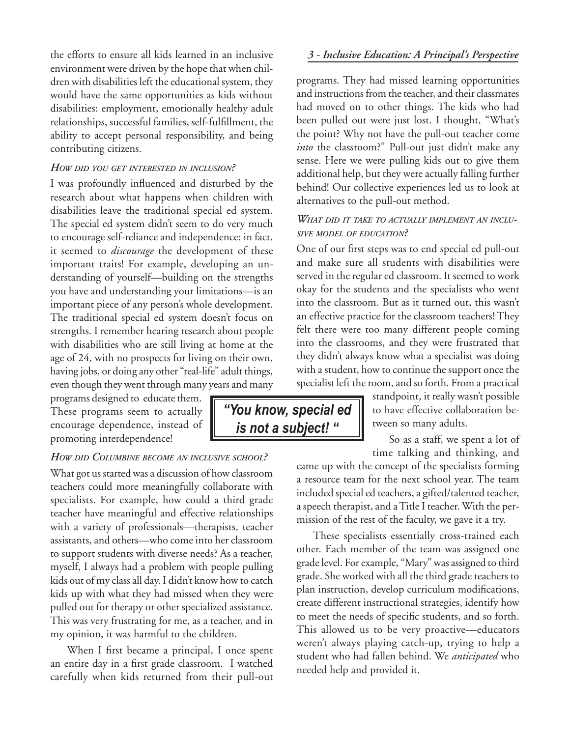the efforts to ensure all kids learned in an inclusive environment were driven by the hope that when children with disabilities left the educational system, they would have the same opportunities as kids without disabilities: employment, emotionally healthy adult relationships, successful families, self-fulfillment, the ability to accept personal responsibility, and being contributing citizens.

### *How did you get interested in inclusion?*

I was profoundly influenced and disturbed by the research about what happens when children with disabilities leave the traditional special ed system. The special ed system didn't seem to do very much to encourage self-reliance and independence; in fact, it seemed to *discourage* the development of these important traits! For example, developing an understanding of yourself—building on the strengths you have and understanding your limitations—is an important piece of any person's whole development. The traditional special ed system doesn't focus on strengths. I remember hearing research about people with disabilities who are still living at home at the age of 24, with no prospects for living on their own, having jobs, or doing any other "real-life" adult things, even though they went through many years and many

programs designed to educate them. These programs seem to actually encourage dependence, instead of promoting interdependence!

#### *How did Columbine become an inclusive school?*

What got us started was a discussion of how classroom teachers could more meaningfully collaborate with specialists. For example, how could a third grade teacher have meaningful and effective relationships with a variety of professionals—therapists, teacher assistants, and others—who come into her classroom to support students with diverse needs? As a teacher, myself, I always had a problem with people pulling kids out of my class all day. I didn't know how to catch kids up with what they had missed when they were pulled out for therapy or other specialized assistance. This was very frustrating for me, as a teacher, and in my opinion, it was harmful to the children.

When I first became a principal, I once spent an entire day in a first grade classroom. I watched carefully when kids returned from their pull-out

### *3 - Inclusive Education: A Principal's Perspective*

programs. They had missed learning opportunities and instructions from the teacher, and their classmates had moved on to other things. The kids who had been pulled out were just lost. I thought, "What's the point? Why not have the pull-out teacher come *into* the classroom?" Pull-out just didn't make any sense. Here we were pulling kids out to give them additional help, but they were actually falling further behind! Our collective experiences led us to look at alternatives to the pull-out method.

## *What did it take to actually implement an inclusive model of education?*

One of our first steps was to end special ed pull-out and make sure all students with disabilities were served in the regular ed classroom. It seemed to work okay for the students and the specialists who went into the classroom. But as it turned out, this wasn't an effective practice for the classroom teachers! They felt there were too many different people coming into the classrooms, and they were frustrated that they didn't always know what a specialist was doing with a student, how to continue the support once the specialist left the room, and so forth. From a practical

> standpoint, it really wasn't possible to have effective collaboration between so many adults.

So as a staff, we spent a lot of time talking and thinking, and

came up with the concept of the specialists forming a resource team for the next school year. The team included special ed teachers, a gifted/talented teacher, a speech therapist, and a Title I teacher. With the permission of the rest of the faculty, we gave it a try.

These specialists essentially cross-trained each other. Each member of the team was assigned one grade level. For example, "Mary" was assigned to third grade. She worked with all the third grade teachers to plan instruction, develop curriculum modifications, create different instructional strategies, identify how to meet the needs of specific students, and so forth. This allowed us to be very proactive—educators weren't always playing catch-up, trying to help a student who had fallen behind. We *anticipated* who needed help and provided it.

*"You know, special ed is not a subject! "*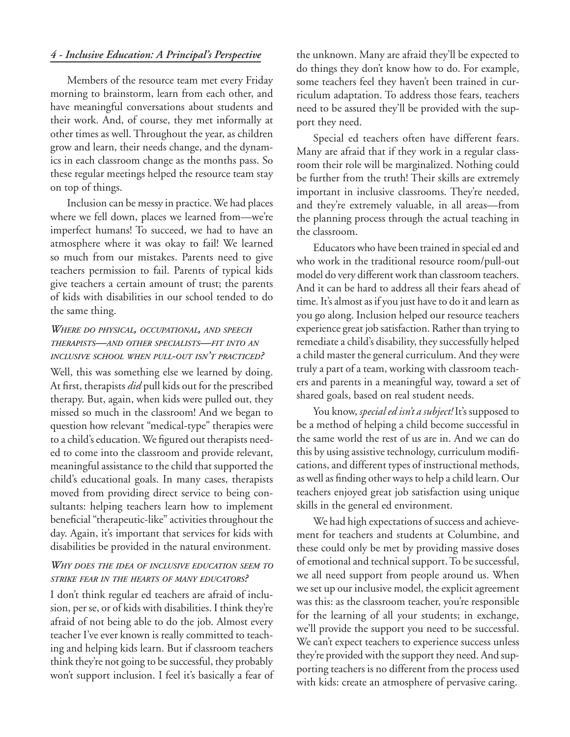#### *4 - Inclusive Education: A Principal's Perspective*

Members of the resource team met every Friday morning to brainstorm, learn from each other, and have meaningful conversations about students and their work. And, of course, they met informally at other times as well. Throughout the year, as children grow and learn, their needs change, and the dynamics in each classroom change as the months pass. So these regular meetings helped the resource team stay on top of things.

Inclusion can be messy in practice. We had places where we fell down, places we learned from—we're imperfect humans! To succeed, we had to have an atmosphere where it was okay to fail! We learned so much from our mistakes. Parents need to give teachers permission to fail. Parents of typical kids give teachers a certain amount of trust; the parents of kids with disabilities in our school tended to do the same thing.

# *Where do physical, occupational, and speech therapists—and other specialists—fit into an inclusive school when pull-out isn't practiced?*

Well, this was something else we learned by doing. At first, therapists *did* pull kids out for the prescribed therapy. But, again, when kids were pulled out, they missed so much in the classroom! And we began to question how relevant "medical-type" therapies were to a child's education. We figured out therapists needed to come into the classroom and provide relevant, meaningful assistance to the child that supported the child's educational goals. In many cases, therapists moved from providing direct service to being consultants: helping teachers learn how to implement beneficial "therapeutic-like" activities throughout the day. Again, it's important that services for kids with disabilities be provided in the natural environment.

### *Why does the idea of inclusive education seem to strike fear in the hearts of many educators?*

I don't think regular ed teachers are afraid of inclusion, per se, or of kids with disabilities. I think they're afraid of not being able to do the job. Almost every teacher I've ever known is really committed to teaching and helping kids learn. But if classroom teachers think they're not going to be successful, they probably won't support inclusion. I feel it's basically a fear of the unknown. Many are afraid they'll be expected to do things they don't know how to do. For example, some teachers feel they haven't been trained in curriculum adaptation. To address those fears, teachers need to be assured they'll be provided with the support they need.

Special ed teachers often have different fears. Many are afraid that if they work in a regular classroom their role will be marginalized. Nothing could be further from the truth! Their skills are extremely important in inclusive classrooms. They're needed, and they're extremely valuable, in all areas—from the planning process through the actual teaching in the classroom.

Educators who have been trained in special ed and who work in the traditional resource room/pull-out model do very different work than classroom teachers. And it can be hard to address all their fears ahead of time. It's almost as if you just have to do it and learn as you go along. Inclusion helped our resource teachers experience great job satisfaction. Rather than trying to remediate a child's disability, they successfully helped a child master the general curriculum. And they were truly a part of a team, working with classroom teachers and parents in a meaningful way, toward a set of shared goals, based on real student needs.

You know, *special ed isn't a subject!* It's supposed to be a method of helping a child become successful in the same world the rest of us are in. And we can do this by using assistive technology, curriculum modifications, and different types of instructional methods, as well as finding other ways to help a child learn. Our teachers enjoyed great job satisfaction using unique skills in the general ed environment.

We had high expectations of success and achievement for teachers and students at Columbine, and these could only be met by providing massive doses of emotional and technical support. To be successful, we all need support from people around us. When we set up our inclusive model, the explicit agreement was this: as the classroom teacher, you're responsible for the learning of all your students; in exchange, we'll provide the support you need to be successful. We can't expect teachers to experience success unless they're provided with the support they need. And supporting teachers is no different from the process used with kids: create an atmosphere of pervasive caring.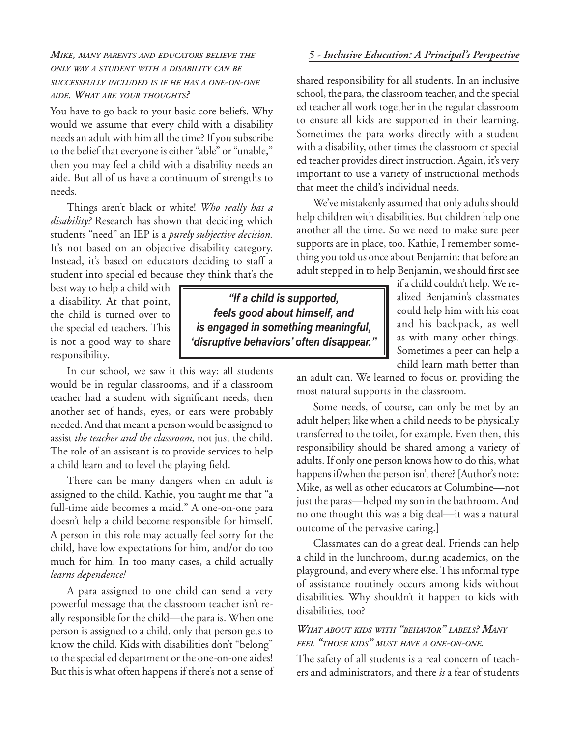## *Mike, many parents and educators believe the only way a student with a disability can be successfully included is if he has <sup>a</sup> one-on-one aide. What are your thoughts?*

You have to go back to your basic core beliefs. Why would we assume that every child with a disability needs an adult with him all the time? If you subscribe to the belief that everyone is either "able" or "unable," then you may feel a child with a disability needs an aide. But all of us have a continuum of strengths to needs.

Things aren't black or white! *Who really has a disability?* Research has shown that deciding which students "need" an IEP is a *purely subjective decision.* It's not based on an objective disability category. Instead, it's based on educators deciding to staff a student into special ed because they think that's the

best way to help a child with a disability. At that point, the child is turned over to the special ed teachers. This is not a good way to share responsibility.

In our school, we saw it this way: all students would be in regular classrooms, and if a classroom teacher had a student with significant needs, then another set of hands, eyes, or ears were probably needed. And that meant a person would be assigned to assist *the teacher and the classroom,* not just the child. The role of an assistant is to provide services to help a child learn and to level the playing field.

There can be many dangers when an adult is assigned to the child. Kathie, you taught me that "a full-time aide becomes a maid." A one-on-one para doesn't help a child become responsible for himself. A person in this role may actually feel sorry for the child, have low expectations for him, and/or do too much for him. In too many cases, a child actually *learns dependence!*

A para assigned to one child can send a very powerful message that the classroom teacher isn't really responsible for the child—the para is. When one person is assigned to a child, only that person gets to know the child. Kids with disabilities don't "belong" to the special ed department or the one-on-one aides! But this is what often happens if there's not a sense of

### *5 - Inclusive Education: A Principal's Perspective*

shared responsibility for all students. In an inclusive school, the para, the classroom teacher, and the special ed teacher all work together in the regular classroom to ensure all kids are supported in their learning. Sometimes the para works directly with a student with a disability, other times the classroom or special ed teacher provides direct instruction. Again, it's very important to use a variety of instructional methods that meet the child's individual needs.

We've mistakenly assumed that only adults should help children with disabilities. But children help one another all the time. So we need to make sure peer supports are in place, too. Kathie, I remember something you told us once about Benjamin: that before an adult stepped in to help Benjamin, we should first see

> if a child couldn't help. We realized Benjamin's classmates could help him with his coat and his backpack, as well as with many other things. Sometimes a peer can help a child learn math better than

an adult can. We learned to focus on providing the most natural supports in the classroom.

Some needs, of course, can only be met by an adult helper; like when a child needs to be physically transferred to the toilet, for example. Even then, this responsibility should be shared among a variety of adults. If only one person knows how to do this, what happens if/when the person isn't there? [Author's note: Mike, as well as other educators at Columbine—not just the paras—helped my son in the bathroom. And no one thought this was a big deal—it was a natural outcome of the pervasive caring.]

Classmates can do a great deal. Friends can help a child in the lunchroom, during academics, on the playground, and every where else. This informal type of assistance routinely occurs among kids without disabilities. Why shouldn't it happen to kids with disabilities, too?

## *What about kids with "behavior" labels? Many feel "those kids" must have a one-on-one.*

The safety of all students is a real concern of teachers and administrators, and there *is* a fear of students

*"If a child is supported, feels good about himself, and is engaged in something meaningful, 'disruptive behaviors' often disappear."*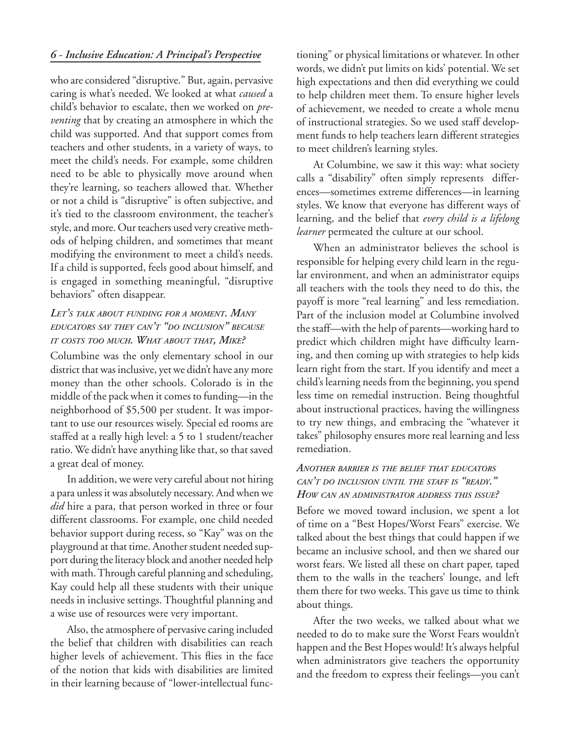### *6 - Inclusive Education: A Principal's Perspective*

who are considered "disruptive." But, again, pervasive caring is what's needed. We looked at what *caused* a child's behavior to escalate, then we worked on *preventing* that by creating an atmosphere in which the child was supported. And that support comes from teachers and other students, in a variety of ways, to meet the child's needs. For example, some children need to be able to physically move around when they're learning, so teachers allowed that. Whether or not a child is "disruptive" is often subjective, and it's tied to the classroom environment, the teacher's style, and more. Our teachers used very creative methods of helping children, and sometimes that meant modifying the environment to meet a child's needs. If a child is supported, feels good about himself, and is engaged in something meaningful, "disruptive behaviors" often disappear.

# *Let's talk about funding for <sup>a</sup> moment. Many educators say they can't "do inclusion" because it costs too much. What about that, Mike?*

Columbine was the only elementary school in our district that was inclusive, yet we didn't have any more money than the other schools. Colorado is in the middle of the pack when it comes to funding—in the neighborhood of \$5,500 per student. It was important to use our resources wisely. Special ed rooms are staffed at a really high level: a 5 to 1 student/teacher ratio. We didn't have anything like that, so that saved a great deal of money.

In addition, we were very careful about not hiring a para unless it was absolutely necessary. And when we *did* hire a para, that person worked in three or four different classrooms. For example, one child needed behavior support during recess, so "Kay" was on the playground at that time. Another student needed support during the literacy block and another needed help with math. Through careful planning and scheduling, Kay could help all these students with their unique needs in inclusive settings. Thoughtful planning and a wise use of resources were very important.

Also, the atmosphere of pervasive caring included the belief that children with disabilities can reach higher levels of achievement. This flies in the face of the notion that kids with disabilities are limited in their learning because of "lower-intellectual functioning" or physical limitations or whatever. In other words, we didn't put limits on kids' potential. We set high expectations and then did everything we could to help children meet them. To ensure higher levels of achievement, we needed to create a whole menu of instructional strategies. So we used staff development funds to help teachers learn different strategies to meet children's learning styles.

At Columbine, we saw it this way: what society calls a "disability" often simply represents differences—sometimes extreme differences—in learning styles. We know that everyone has different ways of learning, and the belief that *every child is a lifelong learner* permeated the culture at our school.

When an administrator believes the school is responsible for helping every child learn in the regular environment, and when an administrator equips all teachers with the tools they need to do this, the payoff is more "real learning" and less remediation. Part of the inclusion model at Columbine involved the staff—with the help of parents—working hard to predict which children might have difficulty learning, and then coming up with strategies to help kids learn right from the start. If you identify and meet a child's learning needs from the beginning, you spend less time on remedial instruction. Being thoughtful about instructional practices, having the willingness to try new things, and embracing the "whatever it takes" philosophy ensures more real learning and less remediation.

# *Another barrier is the belief that educators can't do inclusion until the staff is "ready." How can an administrator address this issue?*

Before we moved toward inclusion, we spent a lot of time on a "Best Hopes/Worst Fears" exercise. We talked about the best things that could happen if we became an inclusive school, and then we shared our worst fears. We listed all these on chart paper, taped them to the walls in the teachers' lounge, and left them there for two weeks. This gave us time to think about things.

After the two weeks, we talked about what we needed to do to make sure the Worst Fears wouldn't happen and the Best Hopes would! It's always helpful when administrators give teachers the opportunity and the freedom to express their feelings—you can't